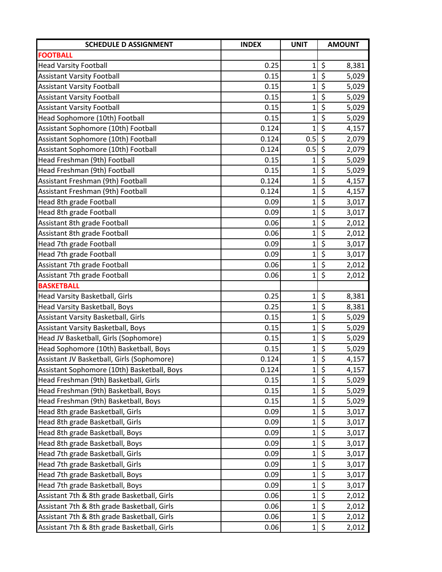| <b>SCHEDULE D ASSIGNMENT</b>                | <b>INDEX</b> | <b>UNIT</b>    | <b>AMOUNT</b>                            |
|---------------------------------------------|--------------|----------------|------------------------------------------|
| <b>FOOTBALL</b>                             |              |                |                                          |
| <b>Head Varsity Football</b>                | 0.25         | $\mathbf 1$    | \$<br>8,381                              |
| <b>Assistant Varsity Football</b>           | 0.15         | $\mathbf{1}$   | \$<br>5,029                              |
| <b>Assistant Varsity Football</b>           | 0.15         | $\mathbf{1}$   | $\overline{\xi}$<br>5,029                |
| <b>Assistant Varsity Football</b>           | 0.15         | $\mathbf 1$    | \$<br>5,029                              |
| <b>Assistant Varsity Football</b>           | 0.15         | $\mathbf 1$    | \$<br>5,029                              |
| Head Sophomore (10th) Football              | 0.15         | $\mathbf 1$    | $\overline{\xi}$<br>5,029                |
| Assistant Sophomore (10th) Football         | 0.124        | $\mathbf{1}$   | $\zeta$<br>4,157                         |
| Assistant Sophomore (10th) Football         | 0.124        | 0.5            | $\overline{\xi}$<br>2,079                |
| Assistant Sophomore (10th) Football         | 0.124        | 0.5            | $\zeta$<br>2,079                         |
| Head Freshman (9th) Football                | 0.15         | $\mathbf{1}$   | \$<br>5,029                              |
| Head Freshman (9th) Football                | 0.15         | $\mathbf 1$    | \$<br>5,029                              |
| Assistant Freshman (9th) Football           | 0.124        | $\mathbf{1}$   | \$<br>4,157                              |
| Assistant Freshman (9th) Football           | 0.124        | $\mathbf{1}$   | $\overline{\boldsymbol{\zeta}}$<br>4,157 |
| Head 8th grade Football                     | 0.09         | $\mathbf 1$    | $\overline{\boldsymbol{\zeta}}$<br>3,017 |
| Head 8th grade Football                     | 0.09         | $\mathbf 1$    | $\overline{\xi}$<br>3,017                |
| Assistant 8th grade Football                | 0.06         | $\mathbf 1$    | \$<br>2,012                              |
| Assistant 8th grade Football                | 0.06         | $\overline{1}$ | $\overline{\xi}$<br>2,012                |
| Head 7th grade Football                     | 0.09         | $\mathbf 1$    | $\overline{\varsigma}$<br>3,017          |
| Head 7th grade Football                     | 0.09         | $\mathbf 1$    | \$<br>3,017                              |
| Assistant 7th grade Football                | 0.06         | $\overline{1}$ | $\overline{\varsigma}$<br>2,012          |
| Assistant 7th grade Football                | 0.06         | $\mathbf{1}$   | \$<br>2,012                              |
| <b>BASKETBALL</b>                           |              |                |                                          |
| Head Varsity Basketball, Girls              | 0.25         | $\mathbf 1$    | \$<br>8,381                              |
| Head Varsity Basketball, Boys               | 0.25         | $\mathbf 1$    | \$<br>8,381                              |
| Assistant Varsity Basketball, Girls         | 0.15         | $\mathbf{1}$   | $\overline{\xi}$<br>5,029                |
| Assistant Varsity Basketball, Boys          | 0.15         | $\mathbf{1}$   | \$<br>5,029                              |
| Head JV Basketball, Girls (Sophomore)       | 0.15         | $\mathbf{1}$   | $\overline{\xi}$<br>5,029                |
| Head Sophomore (10th) Basketball, Boys      | 0.15         | $\mathbf 1$    | \$<br>5,029                              |
| Assistant JV Basketball, Girls (Sophomore)  | 0.124        | $\mathbf{1}$   | $\overline{\varsigma}$<br>4,157          |
| Assistant Sophomore (10th) Basketball, Boys | 0.124        | $\mathbf 1$    | \$<br>4,157                              |
| Head Freshman (9th) Basketball, Girls       | 0.15         | 1              | $\zeta$<br>5,029                         |
| Head Freshman (9th) Basketball, Boys        | 0.15         | $\mathbf{1}$   | \$<br>5,029                              |
| Head Freshman (9th) Basketball, Boys        | 0.15         | $\mathbf 1$    | \$<br>5,029                              |
| Head 8th grade Basketball, Girls            | 0.09         | $\mathbf 1$    | \$<br>3,017                              |
| Head 8th grade Basketball, Girls            | 0.09         | $\mathbf{1}$   | \$<br>3,017                              |
| Head 8th grade Basketball, Boys             | 0.09         | $\mathbf 1$    | \$<br>3,017                              |
| Head 8th grade Basketball, Boys             | 0.09         | $\mathbf{1}$   | \$<br>3,017                              |
| Head 7th grade Basketball, Girls            | 0.09         | $\mathbf{1}$   | \$<br>3,017                              |
| Head 7th grade Basketball, Girls            | 0.09         | $\mathbf 1$    | $\overline{\mathcal{S}}$<br>3,017        |
| Head 7th grade Basketball, Boys             | 0.09         | $\mathbf 1$    | \$<br>3,017                              |
| Head 7th grade Basketball, Boys             | 0.09         | $\mathbf 1$    | \$<br>3,017                              |
| Assistant 7th & 8th grade Basketball, Girls | 0.06         | $\mathbf{1}$   | \$<br>2,012                              |
| Assistant 7th & 8th grade Basketball, Girls | 0.06         | $\mathbf 1$    | \$<br>2,012                              |
| Assistant 7th & 8th grade Basketball, Girls | 0.06         | $\mathbf 1$    | \$<br>2,012                              |
| Assistant 7th & 8th grade Basketball, Girls | 0.06         | $\mathbf 1$    | \$<br>2,012                              |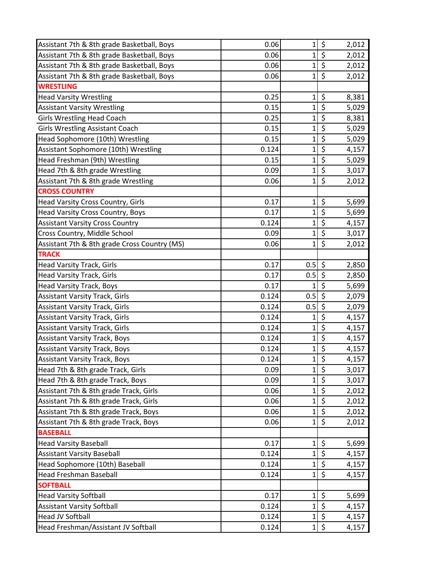| Assistant 7th & 8th grade Basketball, Boys   | 0.06  | $\mathbf 1$    | \$                      | 2,012 |
|----------------------------------------------|-------|----------------|-------------------------|-------|
| Assistant 7th & 8th grade Basketball, Boys   | 0.06  | $\mathbf 1$    | \$                      | 2,012 |
| Assistant 7th & 8th grade Basketball, Boys   | 0.06  | $\mathbf{1}$   | \$                      | 2,012 |
| Assistant 7th & 8th grade Basketball, Boys   | 0.06  | $\overline{1}$ | $\zeta$                 | 2,012 |
| <b>WRESTLING</b>                             |       |                |                         |       |
| <b>Head Varsity Wrestling</b>                | 0.25  | $\mathbf 1$    | \$                      | 8,381 |
| <b>Assistant Varsity Wrestling</b>           | 0.15  | $\mathbf 1$    | \$                      | 5,029 |
| <b>Girls Wrestling Head Coach</b>            | 0.25  | $\mathbf 1$    | \$                      | 8,381 |
| <b>Girls Wrestling Assistant Coach</b>       | 0.15  | $\mathbf 1$    | \$                      | 5,029 |
| Head Sophomore (10th) Wrestling              | 0.15  | $\mathbf{1}$   | $\overline{\xi}$        | 5,029 |
| Assistant Sophomore (10th) Wrestling         | 0.124 | $\mathbf 1$    | \$                      | 4,157 |
| Head Freshman (9th) Wrestling                | 0.15  | $\mathbf 1$    | $\overline{\xi}$        | 5,029 |
| Head 7th & 8th grade Wrestling               | 0.09  | $\mathbf{1}$   | \$                      | 3,017 |
| Assistant 7th & 8th grade Wrestling          | 0.06  | $\mathbf{1}$   | \$                      | 2,012 |
| <b>CROSS COUNTRY</b>                         |       |                |                         |       |
| Head Varsity Cross Country, Girls            | 0.17  | 1              | \$                      | 5,699 |
| Head Varsity Cross Country, Boys             | 0.17  | $\overline{1}$ | $\overline{\xi}$        | 5,699 |
| <b>Assistant Varsity Cross Country</b>       | 0.124 | 1              | \$                      | 4,157 |
| Cross Country, Middle School                 | 0.09  | 1              | \$                      | 3,017 |
| Assistant 7th & 8th grade Cross Country (MS) | 0.06  | $\mathbf 1$    | \$                      | 2,012 |
| <b>TRACK</b>                                 |       |                |                         |       |
| <b>Head Varsity Track, Girls</b>             | 0.17  | 0.5            | $\zeta$                 | 2,850 |
| <b>Head Varsity Track, Girls</b>             | 0.17  | 0.5            | $\zeta$                 | 2,850 |
| <b>Head Varsity Track, Boys</b>              | 0.17  | 1              | $\zeta$                 | 5,699 |
| <b>Assistant Varsity Track, Girls</b>        | 0.124 | 0.5            | \$                      | 2,079 |
| <b>Assistant Varsity Track, Girls</b>        | 0.124 | 0.5            | \$                      | 2,079 |
| <b>Assistant Varsity Track, Girls</b>        | 0.124 | 1              | \$                      | 4,157 |
| <b>Assistant Varsity Track, Girls</b>        | 0.124 | $\mathbf{1}$   | \$                      | 4,157 |
| <b>Assistant Varsity Track, Boys</b>         | 0.124 | $\mathbf{1}$   | $\overline{\mathbf{S}}$ | 4,157 |
| <b>Assistant Varsity Track, Boys</b>         | 0.124 | 1              | \$                      | 4,157 |
| <b>Assistant Varsity Track, Boys</b>         | 0.124 | $\mathbf{1}$   | $\overline{\xi}$        | 4,157 |
| Head 7th & 8th grade Track, Girls            | 0.09  | $\mathbf 1$    | \$                      | 3,017 |
| Head 7th & 8th grade Track, Boys             | 0.09  | $\mathbf 1$    | \$                      | 3,017 |
| Assistant 7th & 8th grade Track, Girls       | 0.06  | $\mathbf 1$    | $\overline{\xi}$        | 2,012 |
| Assistant 7th & 8th grade Track, Girls       | 0.06  | $\mathbf 1$    | \$                      | 2,012 |
| Assistant 7th & 8th grade Track, Boys        | 0.06  | $\mathbf{1}$   | $\overline{\xi}$        | 2,012 |
| Assistant 7th & 8th grade Track, Boys        | 0.06  | 1              | \$                      | 2,012 |
| <b>BASEBALL</b>                              |       |                |                         |       |
| <b>Head Varsity Baseball</b>                 | 0.17  | 1              | \$                      | 5,699 |
| <b>Assistant Varsity Baseball</b>            | 0.124 | $\mathbf 1$    | \$                      | 4,157 |
| Head Sophomore (10th) Baseball               | 0.124 | $\mathbf 1$    | $\overline{\xi}$        | 4,157 |
| <b>Head Freshman Baseball</b>                | 0.124 | 1              | \$                      | 4,157 |
| <b>SOFTBALL</b>                              |       |                |                         |       |
| <b>Head Varsity Softball</b>                 | 0.17  | 1              | \$                      | 5,699 |
| <b>Assistant Varsity Softball</b>            | 0.124 | $\mathbf 1$    | \$                      | 4,157 |
| <b>Head JV Softball</b>                      | 0.124 | $\mathbf{1}$   | \$                      | 4,157 |
| Head Freshman/Assistant JV Softball          | 0.124 | 1              | \$                      | 4,157 |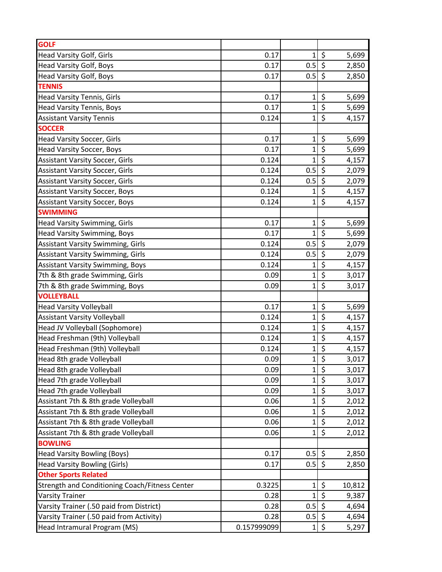| <b>GOLF</b>                                    |             |              |                        |        |
|------------------------------------------------|-------------|--------------|------------------------|--------|
| <b>Head Varsity Golf, Girls</b>                | 0.17        | $1\vert$     | \$                     | 5,699  |
| <b>Head Varsity Golf, Boys</b>                 | 0.17        | 0.5          | \$                     | 2,850  |
| Head Varsity Golf, Boys                        | 0.17        | 0.5          | $\zeta$                | 2,850  |
| <b>TENNIS</b>                                  |             |              |                        |        |
| Head Varsity Tennis, Girls                     | 0.17        | $\mathbf 1$  | \$                     | 5,699  |
| <b>Head Varsity Tennis, Boys</b>               | 0.17        | $\mathbf 1$  | \$                     | 5,699  |
| <b>Assistant Varsity Tennis</b>                | 0.124       | $\mathbf{1}$ | \$                     | 4,157  |
| <b>SOCCER</b>                                  |             |              |                        |        |
| <b>Head Varsity Soccer, Girls</b>              | 0.17        | $\mathbf 1$  | \$                     | 5,699  |
| <b>Head Varsity Soccer, Boys</b>               | 0.17        | $\mathbf 1$  | \$                     | 5,699  |
| <b>Assistant Varsity Soccer, Girls</b>         | 0.124       | $\mathbf{1}$ | $\overline{\varsigma}$ | 4,157  |
| <b>Assistant Varsity Soccer, Girls</b>         | 0.124       | 0.5          | $\zeta$                | 2,079  |
| <b>Assistant Varsity Soccer, Girls</b>         | 0.124       | 0.5          | \$                     | 2,079  |
| <b>Assistant Varsity Soccer, Boys</b>          | 0.124       | $\mathbf{1}$ | \$                     | 4,157  |
| <b>Assistant Varsity Soccer, Boys</b>          | 0.124       | $\mathbf{1}$ | $\zeta$                | 4,157  |
| <b>SWIMMING</b>                                |             |              |                        |        |
| <b>Head Varsity Swimming, Girls</b>            | 0.17        | $\mathbf 1$  | \$                     | 5,699  |
| <b>Head Varsity Swimming, Boys</b>             | 0.17        | $\mathbf{1}$ | $\overline{\varsigma}$ | 5,699  |
| <b>Assistant Varsity Swimming, Girls</b>       | 0.124       | 0.5          | $\zeta$                | 2,079  |
| <b>Assistant Varsity Swimming, Girls</b>       | 0.124       | 0.5          | \$                     | 2,079  |
| <b>Assistant Varsity Swimming, Boys</b>        | 0.124       | $\mathbf{1}$ | \$                     | 4,157  |
| 7th & 8th grade Swimming, Girls                | 0.09        | $\mathbf 1$  | $\zeta$                | 3,017  |
| 7th & 8th grade Swimming, Boys                 | 0.09        | $\mathbf{1}$ | \$                     | 3,017  |
| <b>VOLLEYBALL</b>                              |             |              |                        |        |
| <b>Head Varsity Volleyball</b>                 | 0.17        | $\mathbf 1$  | \$                     | 5,699  |
| <b>Assistant Varsity Volleyball</b>            | 0.124       | $\mathbf 1$  | \$                     | 4,157  |
| Head JV Volleyball (Sophomore)                 | 0.124       | $\mathbf 1$  | \$                     | 4,157  |
| Head Freshman (9th) Volleyball                 | 0.124       | $\mathbf 1$  | \$                     | 4,157  |
| Head Freshman (9th) Volleyball                 | 0.124       | $\mathbf{1}$ | \$                     | 4,157  |
| Head 8th grade Volleyball                      | 0.09        | $\mathbf{1}$ | $\overline{\xi}$       | 3,017  |
| Head 8th grade Volleyball                      | 0.09        | $\mathbf 1$  | $\zeta$                | 3,017  |
| Head 7th grade Volleyball                      | 0.09        | $\mathbf 1$  | \$                     | 3,017  |
| Head 7th grade Volleyball                      | 0.09        | $\mathbf 1$  | \$                     | 3,017  |
| Assistant 7th & 8th grade Volleyball           | 0.06        | $\mathbf 1$  | \$                     | 2,012  |
| Assistant 7th & 8th grade Volleyball           | 0.06        | $\mathbf 1$  | \$                     | 2,012  |
| Assistant 7th & 8th grade Volleyball           | 0.06        | $\mathbf 1$  | \$                     | 2,012  |
| Assistant 7th & 8th grade Volleyball           | 0.06        | $\mathbf{1}$ | \$                     | 2,012  |
| <b>BOWLING</b>                                 |             |              |                        |        |
| <b>Head Varsity Bowling (Boys)</b>             | 0.17        | $0.5$ \$     |                        | 2,850  |
| <b>Head Varsity Bowling (Girls)</b>            | 0.17        | $0.5$ \$     |                        | 2,850  |
| <b>Other Sports Related</b>                    |             |              |                        |        |
| Strength and Conditioning Coach/Fitness Center | 0.3225      | $\mathbf 1$  | \$                     | 10,812 |
| <b>Varsity Trainer</b>                         | 0.28        | $\mathbf 1$  | \$                     | 9,387  |
| Varsity Trainer (.50 paid from District)       | 0.28        | 0.5          | $\zeta$                | 4,694  |
| Varsity Trainer (.50 paid from Activity)       | 0.28        | 0.5          | \$                     | 4,694  |
| Head Intramural Program (MS)                   | 0.157999099 | $1\vert$     | \$                     | 5,297  |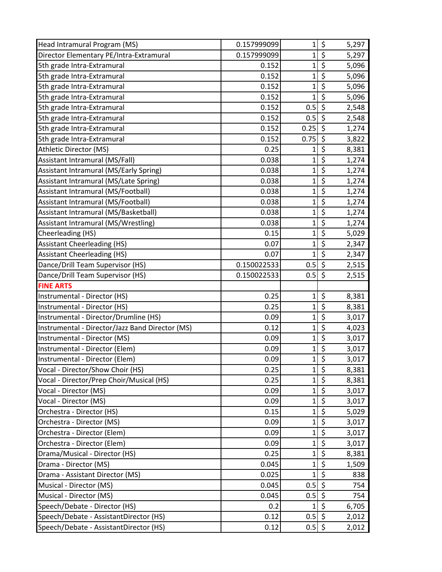| Head Intramural Program (MS)                    | 0.157999099 | 1            | \$                              | 5,297 |
|-------------------------------------------------|-------------|--------------|---------------------------------|-------|
| Director Elementary PE/Intra-Extramural         | 0.157999099 | $\mathbf{1}$ | \$                              | 5,297 |
| 5th grade Intra-Extramural                      | 0.152       | $\mathbf 1$  | $\overline{\xi}$                | 5,096 |
| 5th grade Intra-Extramural                      | 0.152       | 1            | \$                              | 5,096 |
| 5th grade Intra-Extramural                      | 0.152       | $\mathbf 1$  | $\overline{\xi}$                | 5,096 |
| 5th grade Intra-Extramural                      | 0.152       | 1            | \$                              | 5,096 |
| 5th grade Intra-Extramural                      | 0.152       | 0.5          | $\zeta$                         | 2,548 |
| 5th grade Intra-Extramural                      | 0.152       | 0.5          | ऽ                               | 2,548 |
| 5th grade Intra-Extramural                      | 0.152       | 0.25         | $\zeta$                         | 1,274 |
| 5th grade Intra-Extramural                      | 0.152       | 0.75         | $\zeta$                         | 3,822 |
| Athletic Director (MS)                          | 0.25        | 1            | \$                              | 8,381 |
| Assistant Intramural (MS/Fall)                  | 0.038       | $\mathbf 1$  | $\overline{\varsigma}$          | 1,274 |
| Assistant Intramural (MS/Early Spring)          | 0.038       | 1            | \$                              | 1,274 |
| Assistant Intramural (MS/Late Spring)           | 0.038       | $\mathbf 1$  | $\overline{\boldsymbol{\zeta}}$ | 1,274 |
| Assistant Intramural (MS/Football)              | 0.038       | $\mathbf 1$  | \$                              | 1,274 |
| Assistant Intramural (MS/Football)              | 0.038       | $\mathbf 1$  | \$                              | 1,274 |
| Assistant Intramural (MS/Basketball)            | 0.038       | $\mathbf{1}$ | $\overline{\varsigma}$          | 1,274 |
| Assistant Intramural (MS/Wrestling)             | 0.038       | $\mathbf 1$  | \$                              | 1,274 |
| Cheerleading (HS)                               | 0.15        | $\mathbf 1$  | \$                              | 5,029 |
| <b>Assistant Cheerleading (HS)</b>              | 0.07        | $\mathbf 1$  | \$                              | 2,347 |
| <b>Assistant Cheerleading (HS)</b>              | 0.07        | $\mathbf{1}$ | \$                              | 2,347 |
| Dance/Drill Team Supervisor (HS)                | 0.150022533 | 0.5          | $\zeta$                         | 2,515 |
| Dance/Drill Team Supervisor (HS)                | 0.150022533 | 0.5          | $\zeta$                         | 2,515 |
| <b>FINE ARTS</b>                                |             |              |                                 |       |
| Instrumental - Director (HS)                    | 0.25        | 1            | \$                              | 8,381 |
| Instrumental - Director (HS)                    | 0.25        | 1            | \$                              | 8,381 |
| Instrumental - Director/Drumline (HS)           | 0.09        | $\mathbf{1}$ | \$                              | 3,017 |
| Instrumental - Director/Jazz Band Director (MS) | 0.12        | $\mathbf 1$  | \$                              | 4,023 |
| Instrumental - Director (MS)                    | 0.09        | $\mathbf 1$  | $\overline{\boldsymbol{\zeta}}$ | 3,017 |
| Instrumental - Director (Elem)                  | 0.09        | $\mathbf 1$  | \$                              | 3,017 |
| Instrumental - Director (Elem)                  | 0.09        | $\mathbf{1}$ | $\overline{\xi}$                | 3,017 |
| Vocal - Director/Show Choir (HS)                | 0.25        | $\mathbf{1}$ | \$                              | 8,381 |
| Vocal - Director/Prep Choir/Musical (HS)        | 0.25        | $\mathbf 1$  | $\zeta$                         | 8,381 |
| Vocal - Director (MS)                           | 0.09        | $\mathbf 1$  | \$                              | 3,017 |
| Vocal - Director (MS)                           | 0.09        | $\mathbf 1$  | \$                              | 3,017 |
| Orchestra - Director (HS)                       | 0.15        | $\mathbf 1$  | $\overline{\xi}$                | 5,029 |
| Orchestra - Director (MS)                       | 0.09        | $\mathbf 1$  | \$                              | 3,017 |
| Orchestra - Director (Elem)                     | 0.09        | 1            | \$                              | 3,017 |
| Orchestra - Director (Elem)                     | 0.09        | $\mathbf 1$  | \$                              | 3,017 |
| Drama/Musical - Director (HS)                   | 0.25        | 1            | \$                              | 8,381 |
| Drama - Director (MS)                           | 0.045       | 1            | $\overline{\xi}$                | 1,509 |
| Drama - Assistant Director (MS)                 | 0.025       | 1            | $\zeta$                         | 838   |
| Musical - Director (MS)                         | 0.045       | 0.5          | $\zeta$                         | 754   |
| Musical - Director (MS)                         | 0.045       | 0.5          | \$                              | 754   |
| Speech/Debate - Director (HS)                   | 0.2         | $\mathbf{1}$ | $\zeta$                         | 6,705 |
| Speech/Debate - AssistantDirector (HS)          | 0.12        | 0.5          | $\zeta$                         | 2,012 |
| Speech/Debate - AssistantDirector (HS)          | 0.12        | $0.5$ \$     |                                 | 2,012 |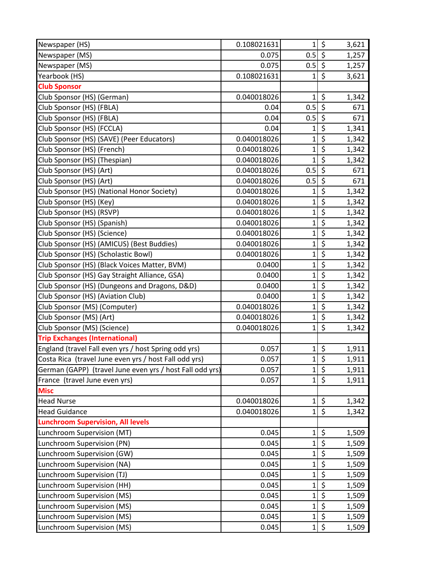| Newspaper (HS)                                           | 0.108021631 | $\mathbf{1}$ | \$                              | 3,621 |
|----------------------------------------------------------|-------------|--------------|---------------------------------|-------|
| Newspaper (MS)                                           | 0.075       | 0.5          | $\zeta$                         | 1,257 |
| Newspaper (MS)                                           | 0.075       | $0.5$ \$     |                                 | 1,257 |
| Yearbook (HS)                                            | 0.108021631 | 1            | \$                              | 3,621 |
| <b>Club Sponsor</b>                                      |             |              |                                 |       |
| Club Sponsor (HS) (German)                               | 0.040018026 | 1            | \$                              | 1,342 |
| Club Sponsor (HS) (FBLA)                                 | 0.04        | 0.5          | $\zeta$                         | 671   |
| Club Sponsor (HS) (FBLA)                                 | 0.04        | 0.5          | $\overline{\mathcal{S}}$        | 671   |
| Club Sponsor (HS) (FCCLA)                                | 0.04        | $\mathbf 1$  | \$                              | 1,341 |
| Club Sponsor (HS) (SAVE) (Peer Educators)                | 0.040018026 | $\mathbf{1}$ | $\overline{\xi}$                | 1,342 |
| Club Sponsor (HS) (French)                               | 0.040018026 | $\mathbf 1$  | \$                              | 1,342 |
| Club Sponsor (HS) (Thespian)                             | 0.040018026 | $\mathbf{1}$ | $\overline{\mathcal{S}}$        | 1,342 |
| Club Sponsor (HS) (Art)                                  | 0.040018026 | 0.5          | \$                              | 671   |
| Club Sponsor (HS) (Art)                                  | 0.040018026 | 0.5          | $\zeta$                         | 671   |
| Club Sponsor (HS) (National Honor Society)               | 0.040018026 | $\mathbf 1$  | \$                              | 1,342 |
| Club Sponsor (HS) (Key)                                  | 0.040018026 | $\mathbf 1$  | \$                              | 1,342 |
| Club Sponsor (HS) (RSVP)                                 | 0.040018026 | $\mathbf{1}$ | $\overline{\xi}$                | 1,342 |
| Club Sponsor (HS) (Spanish)                              | 0.040018026 | $\mathbf 1$  | \$                              | 1,342 |
| Club Sponsor (HS) (Science)                              | 0.040018026 | $\mathbf 1$  | $\overline{\xi}$                | 1,342 |
| Club Sponsor (HS) (AMICUS) (Best Buddies)                | 0.040018026 | $\mathbf 1$  | $\overline{\boldsymbol{\zeta}}$ | 1,342 |
| Club Sponsor (HS) (Scholastic Bowl)                      | 0.040018026 | $\mathbf 1$  | \$                              | 1,342 |
| Club Sponsor (HS) (Black Voices Matter, BVM)             | 0.0400      | $\mathbf{1}$ | $\overline{\xi}$                | 1,342 |
| Club Sponsor (HS) Gay Straight Alliance, GSA)            | 0.0400      | $\mathbf{1}$ | \$                              | 1,342 |
| Club Sponsor (HS) (Dungeons and Dragons, D&D)            | 0.0400      | $\mathbf{1}$ | $\overline{\xi}$                | 1,342 |
| Club Sponsor (HS) (Aviation Club)                        | 0.0400      | $\mathbf 1$  | \$                              | 1,342 |
| Club Sponsor (MS) (Computer)                             | 0.040018026 | $\mathbf{1}$ | \$                              | 1,342 |
| Club Sponsor (MS) (Art)                                  | 0.040018026 | $\mathbf{1}$ | $\overline{\xi}$                | 1,342 |
| Club Sponsor (MS) (Science)                              | 0.040018026 | $\mathbf{1}$ | \$                              | 1,342 |
| <b>Trip Exchanges (International)</b>                    |             |              |                                 |       |
| England (travel Fall even yrs / host Spring odd yrs)     | 0.057       | $\mathbf 1$  | \$                              | 1,911 |
| Costa Rica (travel June even yrs / host Fall odd yrs)    | 0.057       | $\mathbf{1}$ | $\overline{\xi}$                | 1,911 |
| German (GAPP) (travel June even yrs / host Fall odd yrs) | 0.057       | $\mathbf{1}$ | \$                              | 1,911 |
| France (travel June even yrs)                            | 0.057       | $\mathbf{1}$ | $\zeta$                         | 1,911 |
| <b>Misc</b>                                              |             |              |                                 |       |
| <b>Head Nurse</b>                                        | 0.040018026 | $\mathbf 1$  | \$                              | 1,342 |
| <b>Head Guidance</b>                                     | 0.040018026 | $\mathbf{1}$ | $\overline{\xi}$                | 1,342 |
| <b>Lunchroom Supervision, All levels</b>                 |             |              |                                 |       |
| Lunchroom Supervision (MT)                               | 0.045       | $\mathbf 1$  | \$                              | 1,509 |
| Lunchroom Supervision (PN)                               | 0.045       | $\mathbf{1}$ | \$                              | 1,509 |
| Lunchroom Supervision (GW)                               | 0.045       | $\mathbf{1}$ | \$                              | 1,509 |
| Lunchroom Supervision (NA)                               | 0.045       | $\mathbf 1$  | $\overline{\xi}$                | 1,509 |
| Lunchroom Supervision (TJ)                               | 0.045       | $\mathbf 1$  | \$                              | 1,509 |
| Lunchroom Supervision (HH)                               | 0.045       | $\mathbf 1$  | $\overline{\boldsymbol{\zeta}}$ | 1,509 |
| Lunchroom Supervision (MS)                               | 0.045       | $\mathbf 1$  | \$                              | 1,509 |
| Lunchroom Supervision (MS)                               | 0.045       | $\mathbf{1}$ | $\overline{\boldsymbol{\zeta}}$ | 1,509 |
| Lunchroom Supervision (MS)                               | 0.045       | $\mathbf{1}$ | \$                              | 1,509 |
| Lunchroom Supervision (MS)                               | 0.045       | $\mathbf 1$  | \$                              | 1,509 |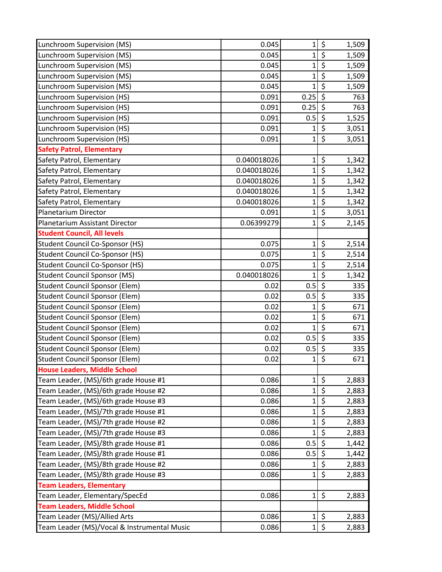| Lunchroom Supervision (MS)                  | 0.045       | 1              | \$                              | 1,509 |
|---------------------------------------------|-------------|----------------|---------------------------------|-------|
| Lunchroom Supervision (MS)                  | 0.045       | $\mathbf{1}$   | \$                              | 1,509 |
| Lunchroom Supervision (MS)                  | 0.045       | $\mathbf 1$    | $\overline{\xi}$                | 1,509 |
| Lunchroom Supervision (MS)                  | 0.045       | $\mathbf{1}$   | \$                              | 1,509 |
| Lunchroom Supervision (MS)                  | 0.045       | $\mathbf 1$    | $\overline{\xi}$                | 1,509 |
| Lunchroom Supervision (HS)                  | 0.091       | 0.25           | $\zeta$                         | 763   |
| Lunchroom Supervision (HS)                  | 0.091       | 0.25           | \$                              | 763   |
| Lunchroom Supervision (HS)                  | 0.091       | 0.5            | $\overline{\xi}$                | 1,525 |
| Lunchroom Supervision (HS)                  | 0.091       | $\mathbf 1$    | \$                              | 3,051 |
| Lunchroom Supervision (HS)                  | 0.091       | $\mathbf{1}$   | \$                              | 3,051 |
| <b>Safety Patrol, Elementary</b>            |             |                |                                 |       |
| Safety Patrol, Elementary                   | 0.040018026 | $\mathbf 1$    | \$                              | 1,342 |
| Safety Patrol, Elementary                   | 0.040018026 | $\mathbf 1$    | \$                              | 1,342 |
| Safety Patrol, Elementary                   | 0.040018026 | $\mathbf 1$    | $\overline{\xi}$                | 1,342 |
| Safety Patrol, Elementary                   | 0.040018026 | $\mathbf{1}$   | $\overline{\boldsymbol{\zeta}}$ | 1,342 |
| Safety Patrol, Elementary                   | 0.040018026 | $\mathbf{1}$   | $\overline{\xi}$                | 1,342 |
| Planetarium Director                        | 0.091       | $\mathbf{1}$   | $\overline{\xi}$                | 3,051 |
| Planetarium Assistant Director              | 0.06399279  | $\mathbf 1$    | \$                              | 2,145 |
| <b>Student Council, All levels</b>          |             |                |                                 |       |
| <b>Student Council Co-Sponsor (HS)</b>      | 0.075       | $\mathbf 1$    | \$                              | 2,514 |
| <b>Student Council Co-Sponsor (HS)</b>      | 0.075       | $\mathbf{1}$   | \$                              | 2,514 |
| <b>Student Council Co-Sponsor (HS)</b>      | 0.075       | $\mathbf 1$    | $\overline{\xi}$                | 2,514 |
| <b>Student Council Sponsor (MS)</b>         | 0.040018026 | $\overline{1}$ | $\overline{\mathcal{S}}$        | 1,342 |
| <b>Student Council Sponsor (Elem)</b>       | 0.02        | 0.5            | $\overline{\xi}$                | 335   |
| <b>Student Council Sponsor (Elem)</b>       | 0.02        | 0.5            | \$                              | 335   |
| <b>Student Council Sponsor (Elem)</b>       | 0.02        | 1              | \$                              | 671   |
| <b>Student Council Sponsor (Elem)</b>       | 0.02        | $\mathbf{1}$   | $\overline{\xi}$                | 671   |
| <b>Student Council Sponsor (Elem)</b>       | 0.02        | $\mathbf{1}$   | $\zeta$                         | 671   |
| <b>Student Council Sponsor (Elem)</b>       | 0.02        | 0.5            | $\overline{\mathbf{v}}$         | 335   |
| <b>Student Council Sponsor (Elem)</b>       | 0.02        | 0.5            | $\overline{\boldsymbol{\zeta}}$ | 335   |
| <b>Student Council Sponsor (Elem)</b>       | 0.02        | $\mathbf 1$    | $\overline{\xi}$                | 671   |
| <b>House Leaders, Middle School</b>         |             |                |                                 |       |
| Team Leader, (MS)/6th grade House #1        | 0.086       | $\mathbf{1}$   | \$                              | 2,883 |
| Team Leader, (MS)/6th grade House #2        | 0.086       | $\mathbf 1$    | \$                              | 2,883 |
| Team Leader, (MS)/6th grade House #3        | 0.086       | $\mathbf{1}$   | \$                              | 2,883 |
| Team Leader, (MS)/7th grade House #1        | 0.086       | $\mathbf{1}$   | $\overline{\xi}$                | 2,883 |
| Team Leader, (MS)/7th grade House #2        | 0.086       | $\mathbf{1}$   | \$                              | 2,883 |
| Team Leader, (MS)/7th grade House #3        | 0.086       | $\mathbf 1$    | \$                              | 2,883 |
| Team Leader, (MS)/8th grade House #1        | 0.086       | 0.5            | $\zeta$                         | 1,442 |
| Team Leader, (MS)/8th grade House #1        | 0.086       | 0.5            | $\zeta$                         | 1,442 |
| Team Leader, (MS)/8th grade House #2        | 0.086       | $\mathbf 1$    | $\overline{\mathcal{S}}$        | 2,883 |
| Team Leader, (MS)/8th grade House #3        | 0.086       | $\mathbf{1}$   | $\zeta$                         | 2,883 |
| <b>Team Leaders, Elementary</b>             |             |                |                                 |       |
| Team Leader, Elementary/SpecEd              | 0.086       | 1              | \$                              | 2,883 |
| <b>Team Leaders, Middle School</b>          |             |                |                                 |       |
| Team Leader (MS)/Allied Arts                | 0.086       | $\mathbf 1$    | \$                              | 2,883 |
| Team Leader (MS)/Vocal & Instrumental Music | 0.086       | 1              | \$                              | 2,883 |